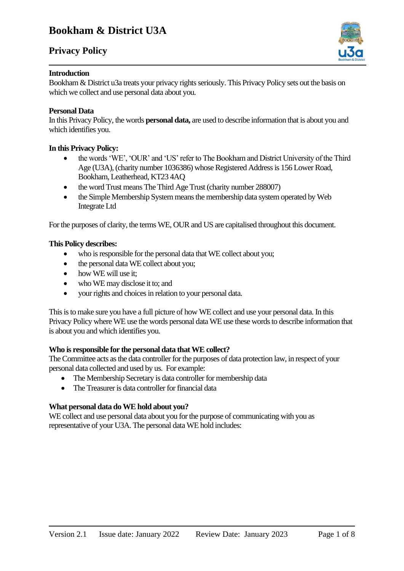## **Privacy Policy**



#### **Introduction**

Bookham & District u3a treats your privacy rights seriously. This Privacy Policy sets out the basis on which we collect and use personal data about you.

#### **Personal Data**

In this Privacy Policy, the words **personal data,** are used to describe information that is about you and which identifies you.

#### **In this Privacy Policy:**

- the words 'WE', 'OUR' and 'US' refer to The Bookham and District University of the Third Age (U3A), (charity number 1036386) whose Registered Address is 156 Lower Road, Bookham, Leatherhead, KT23 4AQ
- the word Trust means The Third Age Trust (charity number 288007)
- the Simple Membership System means the membership data system operated by Web Integrate Ltd

For the purposes of clarity, the terms WE, OUR and US are capitalised throughout this document.

#### **This Policy describes:**

- who is responsible for the personal data that WE collect about you;
- the personal data WE collect about you;
- how WE will use it:
- who WE may disclose it to; and
- your rights and choices in relation to your personal data.

This is to make sure you have a full picture of how WE collect and use your personal data. In this Privacy Policy where WE use the words personal data WE use these words to describe information that is about you and which identifies you.

#### **Who is responsible for the personal data that WE collect?**

The Committee acts as the data controller for the purposes of data protection law, in respect of your personal data collected and used by us. For example:

- The Membership Secretary is data controller for membership data
- The Treasurer is data controller for financial data

### **What personal data do WE hold about you?**

WE collect and use personal data about you for the purpose of communicating with you as representative of your U3A. The personal data WE hold includes: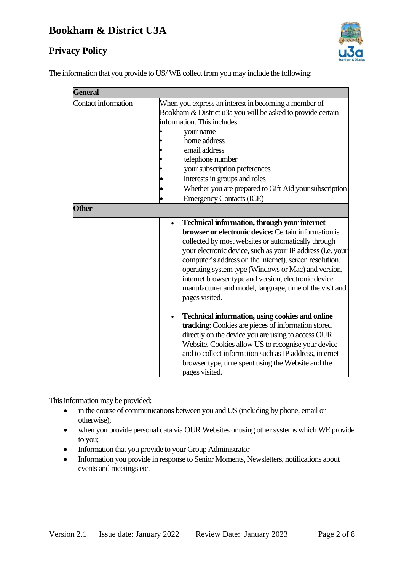

The information that you provide to US/ WE collect from you may include the following:

| <b>General</b>      |                                                                                                                                                                                                                                                                                                                                                                                                                                                                                         |  |  |
|---------------------|-----------------------------------------------------------------------------------------------------------------------------------------------------------------------------------------------------------------------------------------------------------------------------------------------------------------------------------------------------------------------------------------------------------------------------------------------------------------------------------------|--|--|
| Contact information | When you express an interest in becoming a member of<br>Bookham & District u3a you will be asked to provide certain<br>information. This includes:                                                                                                                                                                                                                                                                                                                                      |  |  |
|                     | your name                                                                                                                                                                                                                                                                                                                                                                                                                                                                               |  |  |
|                     | home address                                                                                                                                                                                                                                                                                                                                                                                                                                                                            |  |  |
|                     | email address                                                                                                                                                                                                                                                                                                                                                                                                                                                                           |  |  |
|                     | telephone number                                                                                                                                                                                                                                                                                                                                                                                                                                                                        |  |  |
|                     | your subscription preferences                                                                                                                                                                                                                                                                                                                                                                                                                                                           |  |  |
|                     | Interests in groups and roles                                                                                                                                                                                                                                                                                                                                                                                                                                                           |  |  |
|                     | Whether you are prepared to Gift Aid your subscription                                                                                                                                                                                                                                                                                                                                                                                                                                  |  |  |
|                     | <b>Emergency Contacts (ICE)</b>                                                                                                                                                                                                                                                                                                                                                                                                                                                         |  |  |
| <b>Other</b>        |                                                                                                                                                                                                                                                                                                                                                                                                                                                                                         |  |  |
|                     | Technical information, through your internet<br><b>browser or electronic device:</b> Certain information is<br>collected by most websites or automatically through<br>your electronic device, such as your IP address (i.e. your<br>computer's address on the internet), screen resolution,<br>operating system type (Windows or Mac) and version,<br>internet browser type and version, electronic device<br>manufacturer and model, language, time of the visit and<br>pages visited. |  |  |
|                     | <b>Technical information, using cookies and online</b><br>tracking: Cookies are pieces of information stored<br>directly on the device you are using to access OUR<br>Website. Cookies allow US to recognise your device<br>and to collect information such as IP address, internet<br>browser type, time spent using the Website and the<br>pages visited.                                                                                                                             |  |  |

This information may be provided:

- in the course of communications between you and US (including by phone, email or otherwise);
- when you provide personal data via OUR Websites or using other systems which WE provide to you;
- Information that you provide to your Group Administrator
- Information you provide in response to Senior Moments, Newsletters, notifications about events and meetings etc.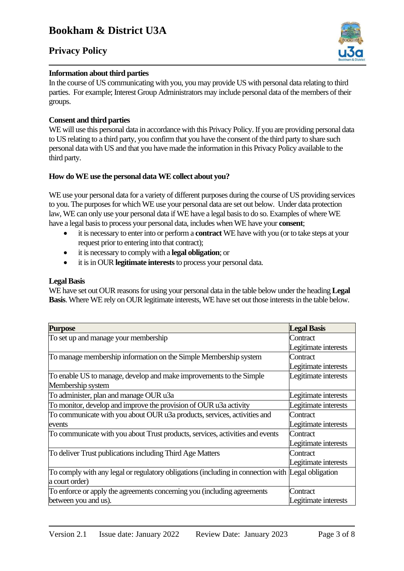

#### **Information about third parties**

In the course of US communicating with you, you may provide US with personal data relating to third parties. For example; Interest Group Administrators may include personal data of the members of their groups.

### **Consent and third parties**

WE will use this personal data in accordance with this Privacy Policy. If you are providing personal data to US relating to a third party, you confirm that you have the consent of the third party to share such personal data with US and that you have made the information in this Privacy Policy available to the third party.

### **How do WE use the personal data WE collect about you?**

WE use your personal data for a variety of different purposes during the course of US providing services to you. The purposes for which WE use your personal data are set out below. Under data protection law, WE can only use your personal data if WE have a legal basis to do so. Examples of where WE have a legal basis to process your personal data, includes when WE have your **consent**;

- it is necessary to enter into or perform a **contract** WE have with you (or to take steps at your request prior to entering into that contract);
- it is necessary to comply with a **legal obligation**; or
- it is in OUR **legitimate interests**to process your personal data.

#### **Legal Basis**

WE have set out OUR reasons for using your personal data in the table below under the heading **Legal Basis**. Where WE rely on OUR legitimate interests, WE have set out those interests in the table below.

| <b>Purpose</b>                                                                                    | <b>Legal Basis</b>   |
|---------------------------------------------------------------------------------------------------|----------------------|
| To set up and manage your membership                                                              | Contract             |
|                                                                                                   | Legitimate interests |
| To manage membership information on the Simple Membership system                                  | Contract             |
|                                                                                                   | Legitimate interests |
| To enable US to manage, develop and make improvements to the Simple                               | Legitimate interests |
| Membership system                                                                                 |                      |
| To administer, plan and manage OUR u3a                                                            | Legitimate interests |
| To monitor, develop and improve the provision of OUR u3a activity                                 | Legitimate interests |
| To communicate with you about OUR u3a products, services, activities and                          | Contract             |
| events                                                                                            | Legitimate interests |
| To communicate with you about Trust products, services, activities and events                     | Contract             |
|                                                                                                   | Legitimate interests |
| To deliver Trust publications including Third Age Matters                                         | Contract             |
|                                                                                                   | Legitimate interests |
| To comply with any legal or regulatory obligations (including in connection with Legal obligation |                      |
| a court order)                                                                                    |                      |
| To enforce or apply the agreements concerning you (including agreements                           | Contract             |
| between you and us).                                                                              | Legitimate interests |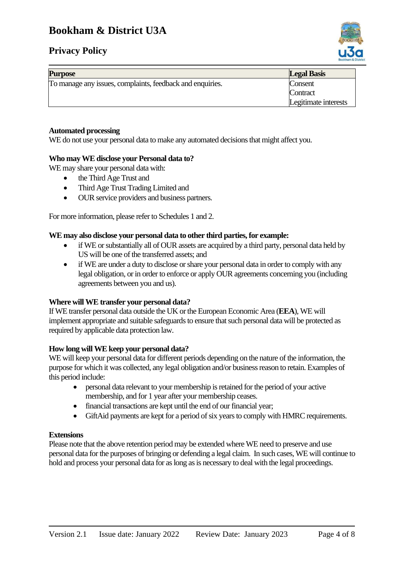## **Privacy Policy**



| <b>Purpose</b>                                            | <b>Legal Basis</b>   |
|-----------------------------------------------------------|----------------------|
| To manage any issues, complaints, feedback and enquiries. | Consent              |
|                                                           | Contract             |
|                                                           | Legitimate interests |

#### **Automated processing**

WE do not use your personal data to make any automated decisions that might affect you.

#### **Who may WE disclose your Personal data to?**

WE may share your personal data with:

- the Third Age Trust and
- Third Age Trust Trading Limited and
- OUR service providers and business partners.

For more information, please refer to Schedules 1 and 2.

#### **WE may also disclose your personal data to other third parties, for example:**

- if WE or substantially all of OUR assets are acquired by a third party, personal data held by US will be one of the transferred assets; and
- if WE are under a duty to disclose or share your personal data in order to comply with any legal obligation, or in order to enforce or apply OUR agreements concerning you (including agreements between you and us).

#### **Where will WE transfer your personal data?**

If WE transfer personal data outside the UK or the European Economic Area (**EEA**), WE will implement appropriate and suitable safeguards to ensure that such personal data will be protected as required by applicable data protection law.

#### **How long will WE keep your personal data?**

WE will keep your personal data for different periods depending on the nature of the information, the purpose for which it was collected, any legal obligation and/or business reason to retain. Examples of this period include:

- personal data relevant to your membership is retained for the period of your active membership, and for 1 year after your membership ceases.
- financial transactions are kept until the end of our financial year;
- GiftAid payments are kept for a period of six years to comply with HMRC requirements.

#### **Extensions**

Please note that the above retention period may be extended where WE need to preserve and use personal data for the purposes of bringing or defending a legal claim. In such cases, WE will continue to hold and process your personal data for as long as is necessary to deal with the legal proceedings.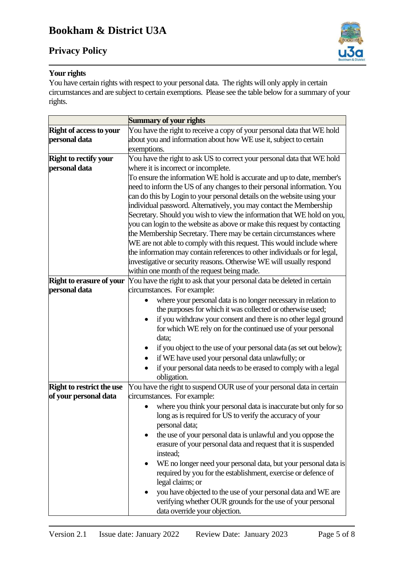

## **Your rights**

You have certain rights with respect to your personal data. The rights will only apply in certain circumstances and are subject to certain exemptions. Please see the table below for a summary of your rights.

|                                  | Summary of your rights                                                    |  |  |
|----------------------------------|---------------------------------------------------------------------------|--|--|
| <b>Right of access to your</b>   | You have the right to receive a copy of your personal data that WE hold   |  |  |
| personal data                    | about you and information about how WE use it, subject to certain         |  |  |
|                                  | exemptions.                                                               |  |  |
| <b>Right to rectify your</b>     | You have the right to ask US to correct your personal data that WE hold   |  |  |
| personal data                    | where it is incorrect or incomplete.                                      |  |  |
|                                  | To ensure the information WE hold is accurate and up to date, member's    |  |  |
|                                  | need to inform the US of any changes to their personal information. You   |  |  |
|                                  | can do this by Login to your personal details on the website using your   |  |  |
|                                  | individual password. Alternatively, you may contact the Membership        |  |  |
|                                  | Secretary. Should you wish to view the information that WE hold on you,   |  |  |
|                                  | you can login to the website as above or make this request by contacting  |  |  |
|                                  | the Membership Secretary. There may be certain circumstances where        |  |  |
|                                  | WE are not able to comply with this request. This would include where     |  |  |
|                                  | the information may contain references to other individuals or for legal, |  |  |
|                                  | investigative or security reasons. Otherwise WE will usually respond      |  |  |
|                                  | within one month of the request being made.                               |  |  |
| <b>Right to erasure of your</b>  | You have the right to ask that your personal data be deleted in certain   |  |  |
| personal data                    | circumstances. For example:                                               |  |  |
|                                  | where your personal data is no longer necessary in relation to            |  |  |
|                                  | the purposes for which it was collected or otherwise used;                |  |  |
|                                  | if you withdraw your consent and there is no other legal ground           |  |  |
|                                  | for which WE rely on for the continued use of your personal               |  |  |
|                                  | data;                                                                     |  |  |
|                                  | if you object to the use of your personal data (as set out below);        |  |  |
|                                  | if WE have used your personal data unlawfully; or                         |  |  |
|                                  | if your personal data needs to be erased to comply with a legal           |  |  |
|                                  | obligation.                                                               |  |  |
| <b>Right to restrict the use</b> | You have the right to suspend OUR use of your personal data in certain    |  |  |
| of your personal data            | circumstances. For example:                                               |  |  |
|                                  | where you think your personal data is inaccurate but only for so          |  |  |
|                                  | long as is required for US to verify the accuracy of your                 |  |  |
|                                  | personal data;                                                            |  |  |
|                                  | the use of your personal data is unlawful and you oppose the              |  |  |
|                                  | erasure of your personal data and request that it is suspended            |  |  |
|                                  | instead;                                                                  |  |  |
|                                  | WE no longer need your personal data, but your personal data is           |  |  |
|                                  | required by you for the establishment, exercise or defence of             |  |  |
|                                  | legal claims; or                                                          |  |  |
|                                  | you have objected to the use of your personal data and WE are             |  |  |
|                                  | verifying whether OUR grounds for the use of your personal                |  |  |
|                                  | data override your objection.                                             |  |  |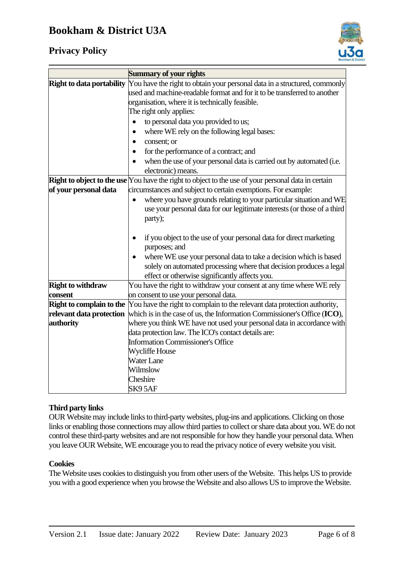## **Privacy Policy**



| <b>Summary of your rights</b>                                                                                                 |  |
|-------------------------------------------------------------------------------------------------------------------------------|--|
| You have the right to obtain your personal data in a structured, commonly                                                     |  |
| used and machine-readable format and for it to be transferred to another                                                      |  |
| organisation, where it is technically feasible.                                                                               |  |
| The right only applies:                                                                                                       |  |
| to personal data you provided to us;<br>$\bullet$                                                                             |  |
| where WE rely on the following legal bases:<br>$\bullet$                                                                      |  |
| consent; or<br>٠                                                                                                              |  |
| for the performance of a contract; and                                                                                        |  |
| when the use of your personal data is carried out by automated (i.e.                                                          |  |
| electronic) means.                                                                                                            |  |
| <b>Right to object to the use</b> You have the right to object to the use of your personal data in certain                    |  |
| circumstances and subject to certain exemptions. For example:                                                                 |  |
| where you have grounds relating to your particular situation and WE<br>$\bullet$                                              |  |
| use your personal data for our legitimate interests (or those of a third                                                      |  |
| party);                                                                                                                       |  |
|                                                                                                                               |  |
| if you object to the use of your personal data for direct marketing<br>$\bullet$                                              |  |
| purposes; and                                                                                                                 |  |
| where WE use your personal data to take a decision which is based                                                             |  |
| solely on automated processing where that decision produces a legal                                                           |  |
| effect or otherwise significantly affects you.                                                                                |  |
| You have the right to withdraw your consent at any time where WE rely                                                         |  |
| on consent to use your personal data.<br>Right to complain to the                                                             |  |
| You have the right to complain to the relevant data protection authority,                                                     |  |
| which is in the case of us, the Information Commissioner's Office (ICO),                                                      |  |
| where you think WE have not used your personal data in accordance with<br>data protection law. The ICO's contact details are: |  |
| <b>Information Commissioner's Office</b>                                                                                      |  |
| Wycliffe House                                                                                                                |  |
| <b>Water Lane</b>                                                                                                             |  |
| Wilmslow                                                                                                                      |  |
| Cheshire                                                                                                                      |  |
| SK9 5AF                                                                                                                       |  |
|                                                                                                                               |  |

### **Third party links**

OUR Website may include links to third-party websites, plug-ins and applications. Clicking on those links or enabling those connections may allow third parties to collect or share data about you. WE do not control these third-party websites and are not responsible for how they handle your personal data. When you leave OUR Website, WE encourage you to read the privacy notice of every website you visit.

#### **Cookies**

The Website uses cookies to distinguish you from other users of the Website. This helps US to provide you with a good experience when you browse the Website and also allows US to improve the Website.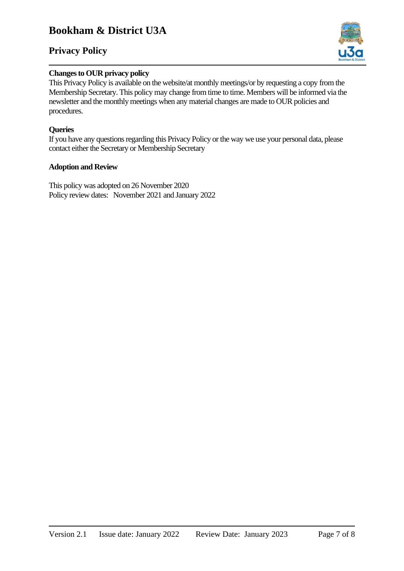## **Privacy Policy**



### **Changes to OUR privacy policy**

This Privacy Policy is available on the website/at monthly meetings/or by requesting a copy from the Membership Secretary. This policy may change from time to time. Members will be informed via the newsletter and the monthly meetings when any material changes are made to OUR policies and procedures.

### **Queries**

If you have any questions regarding this Privacy Policy or the way we use your personal data, please contact either the Secretary or Membership Secretary

#### **Adoption and Review**

This policy was adopted on 26 November 2020 Policy review dates: November 2021 and January 2022